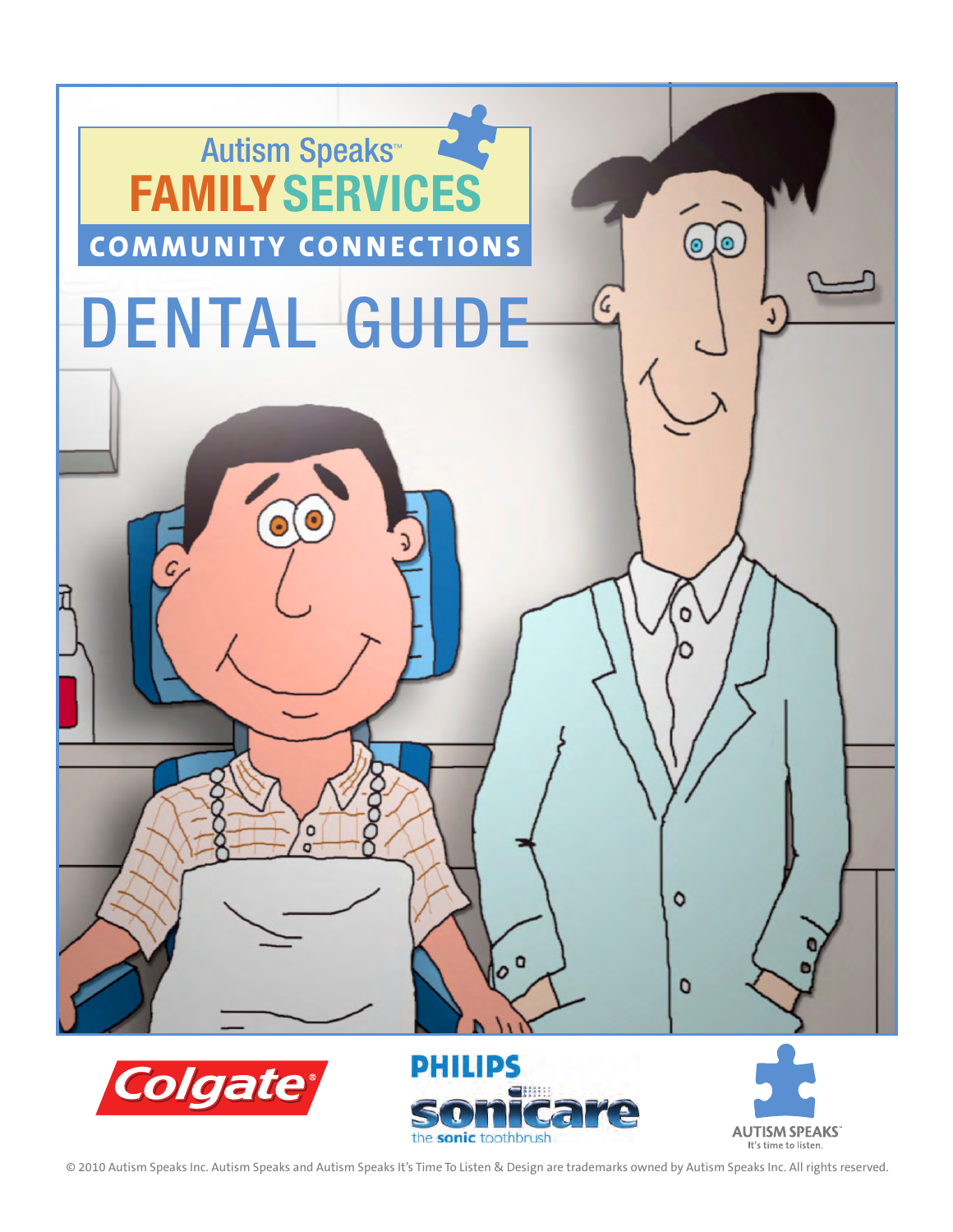

© 2010 Autism Speaks Inc. Autism Speaks and Autism Speaks It's Time To Listen & Design are trademarks owned by Autism Speaks Inc. All rights reserved.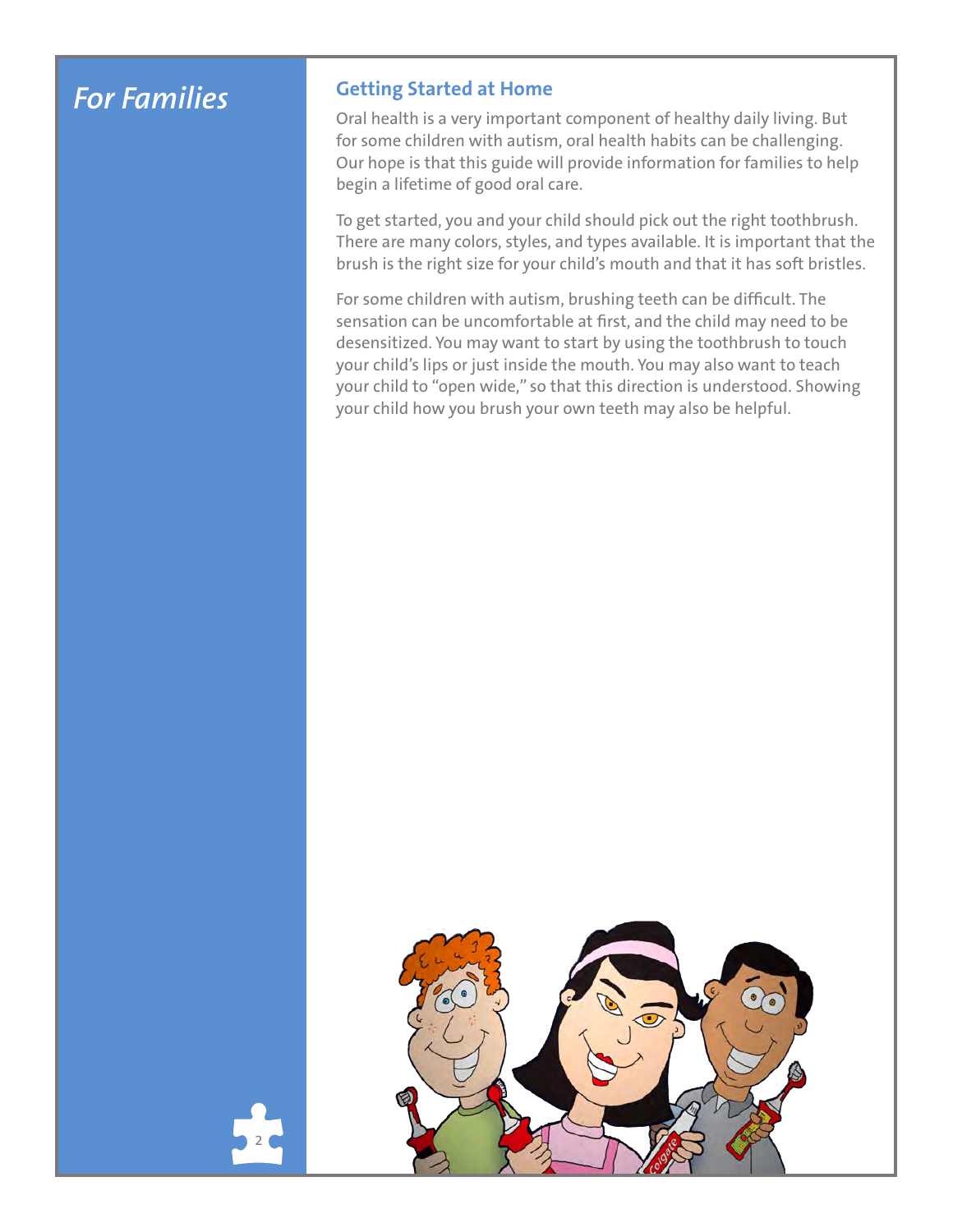## *For Families*

2

#### **Getting Started at Home**

Oral health is a very important component of healthy daily living. But for some children with autism, oral health habits can be challenging. Our hope is that this guide will provide information for families to help begin a lifetime of good oral care.

To get started, you and your child should pick out the right toothbrush. There are many colors, styles, and types available. It is important that the brush is the right size for your child's mouth and that it has soft bristles.

For some children with autism, brushing teeth can be difficult. The sensation can be uncomfortable at first, and the child may need to be desensitized. You may want to start by using the toothbrush to touch your child's lips or just inside the mouth. You may also want to teach your child to "open wide," so that this direction is understood. Showing your child how you brush your own teeth may also be helpful.

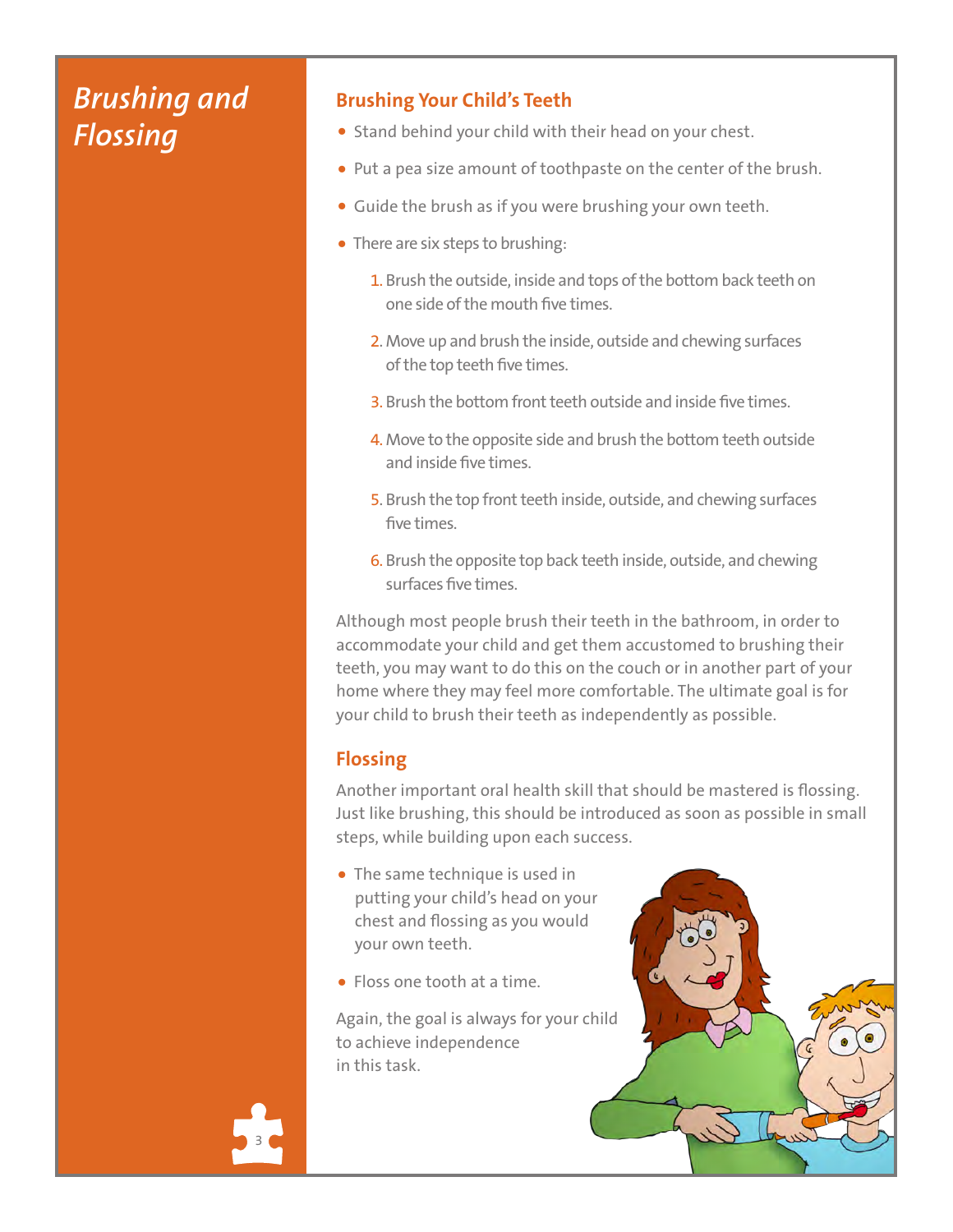# *Brushing and Flossing*

#### **Brushing Your Child's Teeth**

- Stand behind your child with their head on your chest.
- Put a pea size amount of toothpaste on the center of the brush.
- Guide the brush as if you were brushing your own teeth.
- There are six steps to brushing:
	- 1. Brush the outside, inside and tops of the bottom back teeth on one side of the mouth five times.
	- 2. Move up and brush the inside, outside and chewing surfaces of the top teeth five times.
	- 3. Brush the bottom front teeth outside and inside five times.
	- 4. Move to the opposite side and brush the bottom teeth outside and inside five times.
	- 5. Brush the top front teeth inside, outside, and chewing surfaces five times.
	- 6. Brush the opposite top back teeth inside, outside, and chewing surfaces five times.

Although most people brush their teeth in the bathroom, in order to accommodate your child and get them accustomed to brushing their teeth, you may want to do this on the couch or in another part of your home where they may feel more comfortable. The ultimate goal is for your child to brush their teeth as independently as possible.

#### **Flossing**

Another important oral health skill that should be mastered is flossing. Just like brushing, this should be introduced as soon as possible in small steps, while building upon each success.

- The same technique is used in putting your child's head on your chest and flossing as you would your own teeth.
- Floss one tooth at a time.

Again, the goal is always for your child to achieve independence in this task.



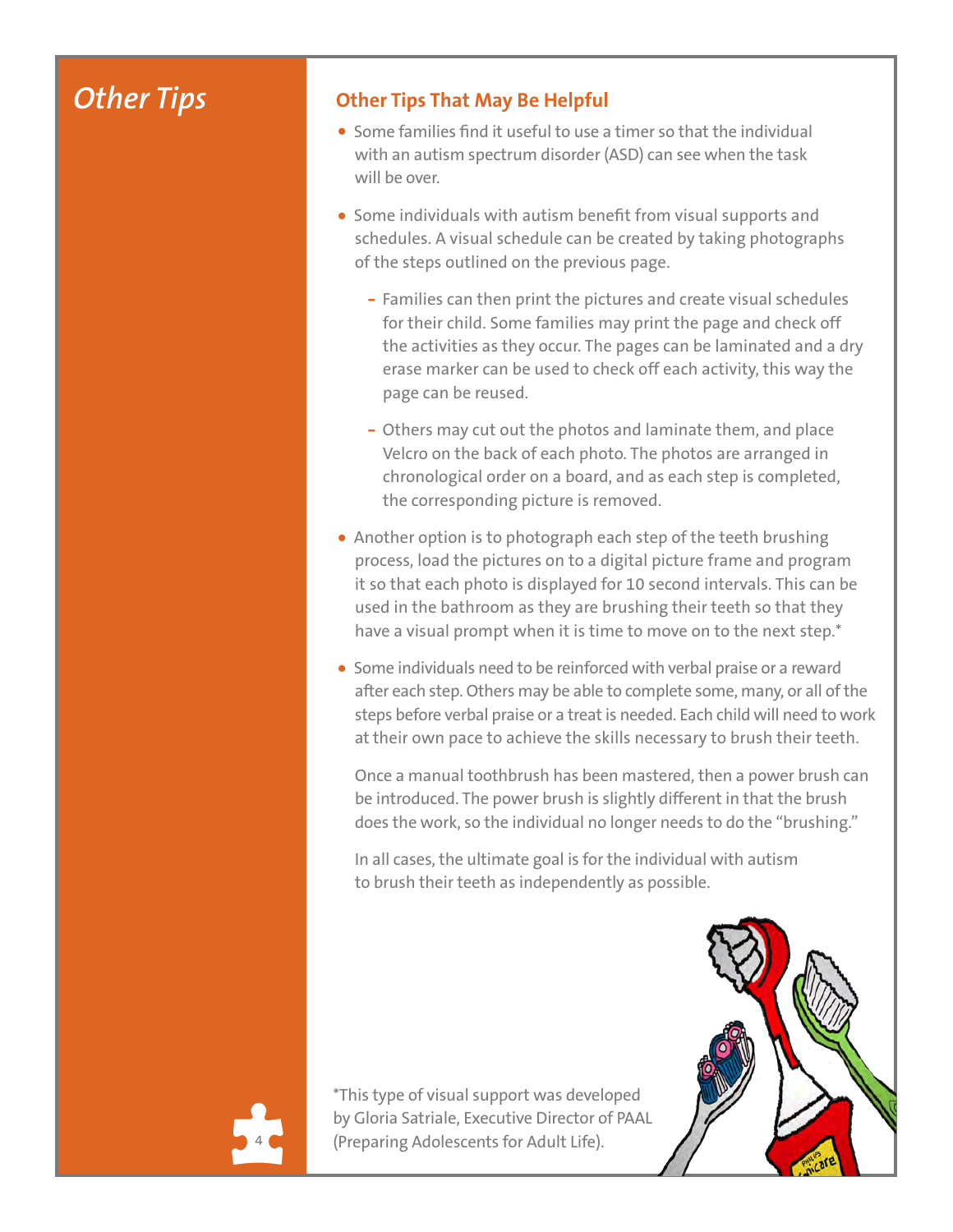## *Other Tips*

### **Other Tips That May Be Helpful**

- Some families find it useful to use a timer so that the individual with an autism spectrum disorder (ASD) can see when the task will be over.
- Some individuals with autism benefit from visual supports and schedules. A visual schedule can be created by taking photographs of the steps outlined on the previous page.
	- Families can then print the pictures and create visual schedules for their child. Some families may print the page and check off the activities as they occur. The pages can be laminated and a dry erase marker can be used to check off each activity, this way the page can be reused.
	- Others may cut out the photos and laminate them, and place Velcro on the back of each photo. The photos are arranged in chronological order on a board, and as each step is completed, the corresponding picture is removed.
- Another option is to photograph each step of the teeth brushing process, load the pictures on to a digital picture frame and program it so that each photo is displayed for 10 second intervals. This can be used in the bathroom as they are brushing their teeth so that they have a visual prompt when it is time to move on to the next step.\*
- Some individuals need to be reinforced with verbal praise or a reward after each step. Others may be able to complete some, many, or all of the steps before verbal praise or a treat is needed. Each child will need to work at their own pace to achieve the skills necessary to brush their teeth.

Once a manual toothbrush has been mastered, then a power brush can be introduced. The power brush is slightly different in that the brush does the work, so the individual no longer needs to do the "brushing."

In all cases, the ultimate goal is for the individual with autism to brush their teeth as independently as possible.

\*This type of visual support was developed by Gloria Satriale, Executive Director of PAAL (Preparing Adolescents for Adult Life).

4

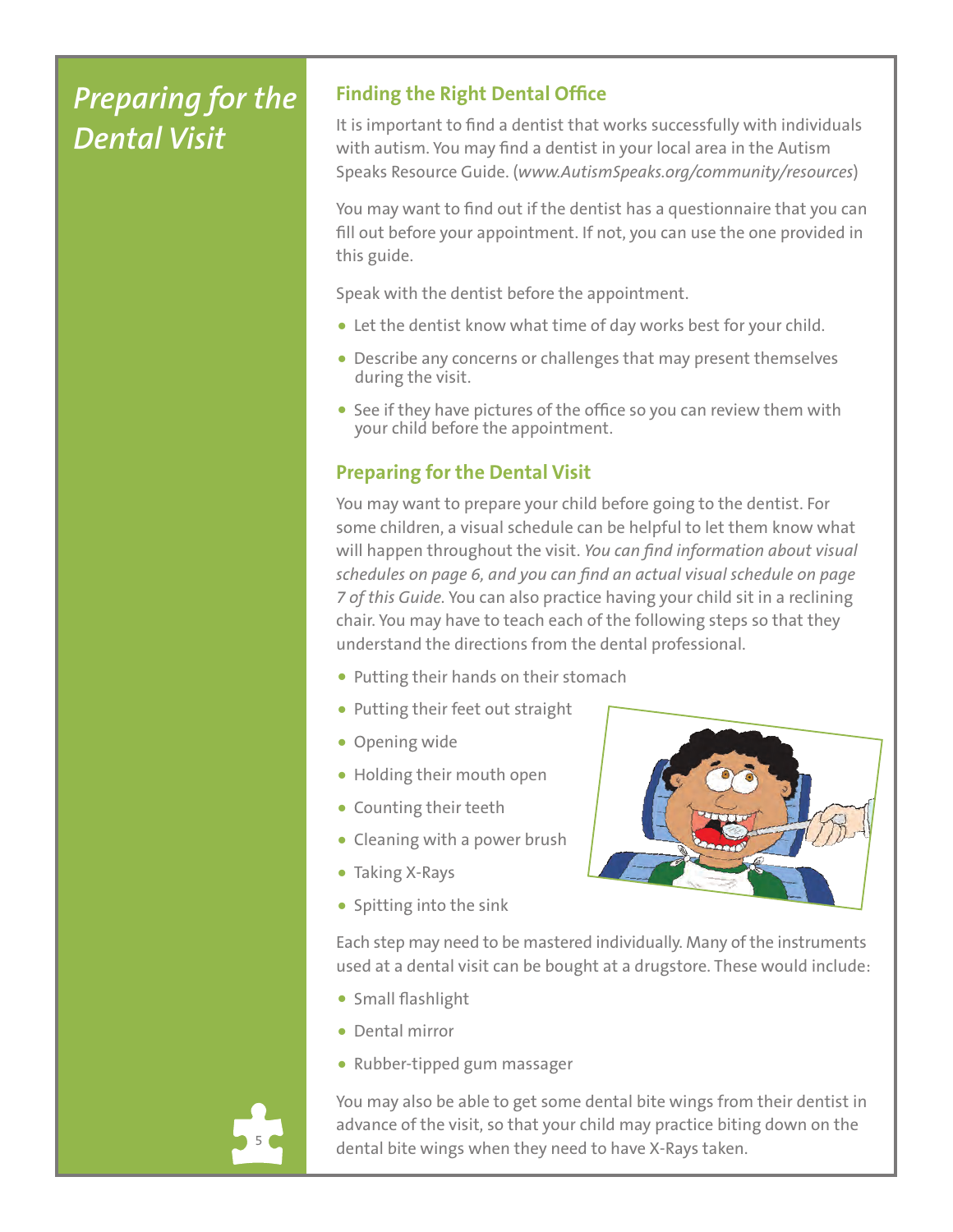# *Preparing for the Dental Visit*

### **Finding the Right Dental Office**

It is important to find a dentist that works successfully with individuals with autism. You may find a dentist in your local area in the Autism Speaks Resource Guide. (*www.AutismSpeaks.org/community/resources*)

You may want to find out if the dentist has a questionnaire that you can fill out before your appointment. If not, you can use the one provided in this guide.

Speak with the dentist before the appointment.

- Let the dentist know what time of day works best for your child.
- Describe any concerns or challenges that may present themselves during the visit.
- See if they have pictures of the office so you can review them with your child before the appointment.

### **Preparing for the Dental Visit**

You may want to prepare your child before going to the dentist. For some children, a visual schedule can be helpful to let them know what will happen throughout the visit. *You can find information about visual schedules on page 6, and you can find an actual visual schedule on page 7 of this Guide.* You can also practice having your child sit in a reclining chair. You may have to teach each of the following steps so that they understand the directions from the dental professional.

- Putting their hands on their stomach
- Putting their feet out straight
- Opening wide
- Holding their mouth open
- Counting their teeth
- Cleaning with a power brush
- Taking X-Rays
- Spitting into the sink



Each step may need to be mastered individually. Many of the instruments used at a dental visit can be bought at a drugstore. These would include:

- Small flashlight
- Dental mirror
- Rubber-tipped gum massager



You may also be able to get some dental bite wings from their dentist in advance of the visit, so that your child may practice biting down on the dental bite wings when they need to have X-Rays taken.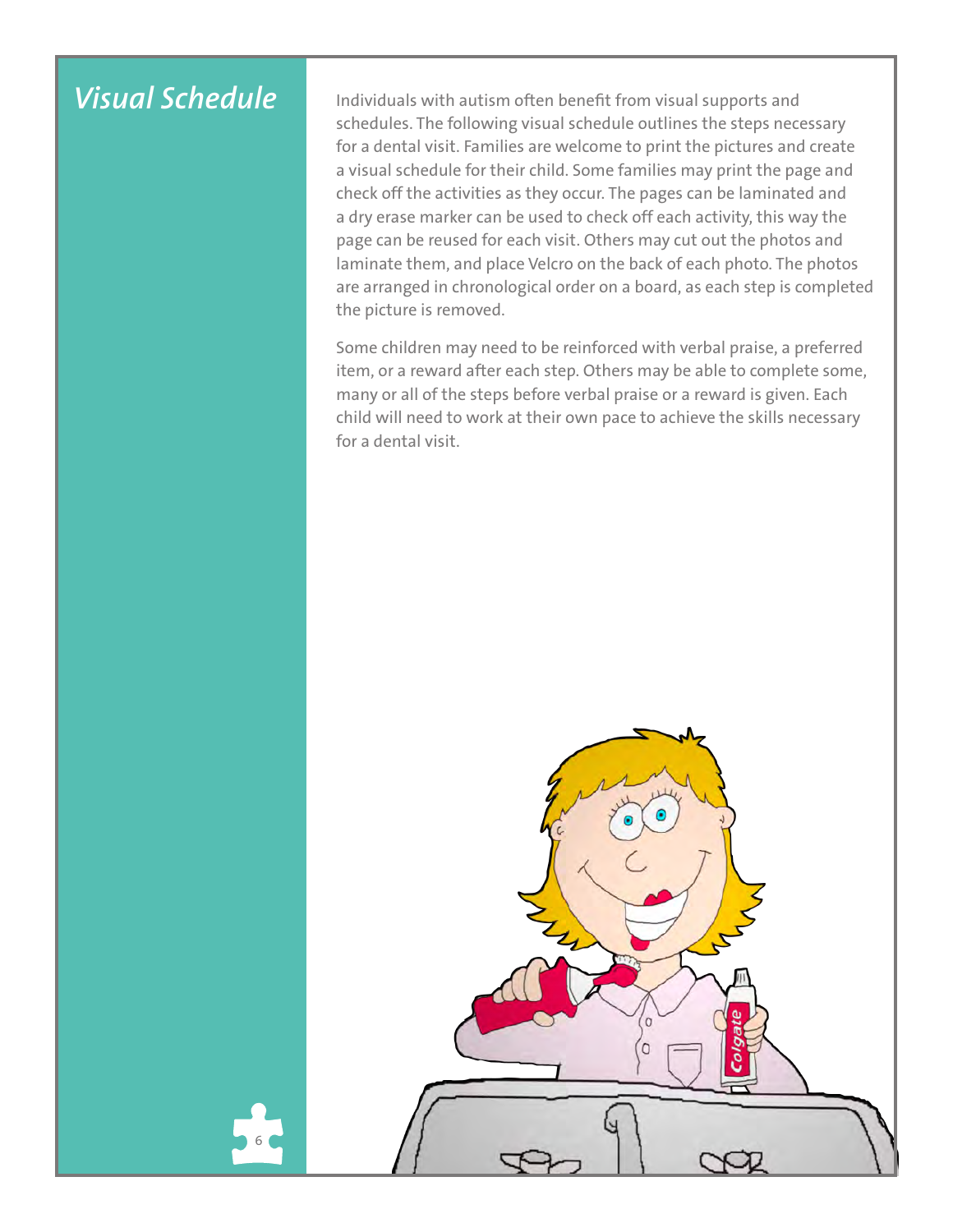# *Visual Schedule*

6

Individuals with autism often benefit from visual supports and schedules. The following visual schedule outlines the steps necessary for a dental visit. Families are welcome to print the pictures and create a visual schedule for their child. Some families may print the page and check off the activities as they occur. The pages can be laminated and a dry erase marker can be used to check off each activity, this way the page can be reused for each visit. Others may cut out the photos and laminate them, and place Velcro on the back of each photo. The photos are arranged in chronological order on a board, as each step is completed the picture is removed.

Some children may need to be reinforced with verbal praise, a preferred item, or a reward after each step. Others may be able to complete some, many or all of the steps before verbal praise or a reward is given. Each child will need to work at their own pace to achieve the skills necessary for a dental visit.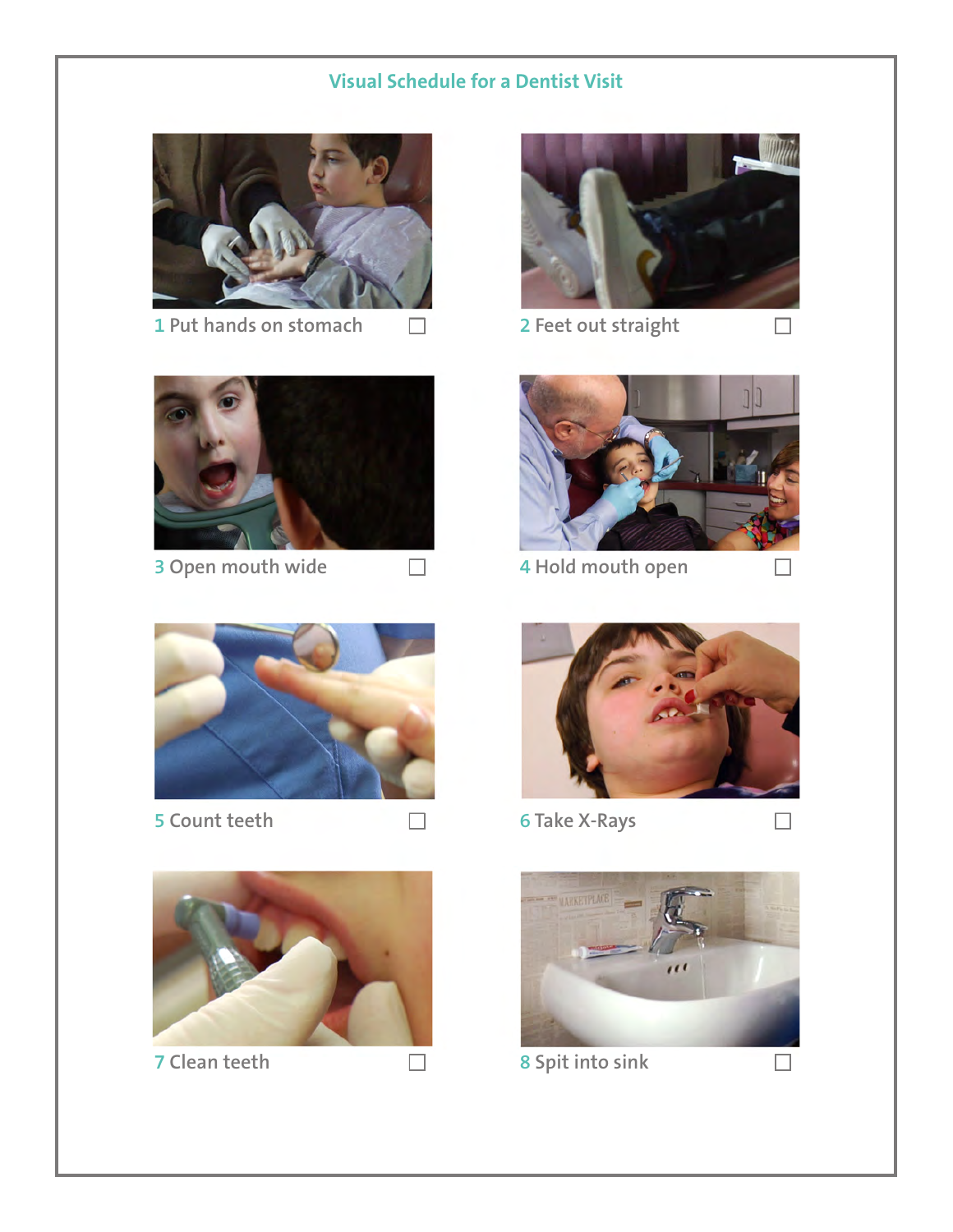### **Visual Schedule for a Dentist Visit**



1 Put hands on stomach  $\Box$ 



**3 Open mouth wide**





**5 Count teeth**



**7 Clean teeth 8 Spit into sink**



**2 Feet out straight**



**4 Hold mouth open**



**6 Take X-Rays**

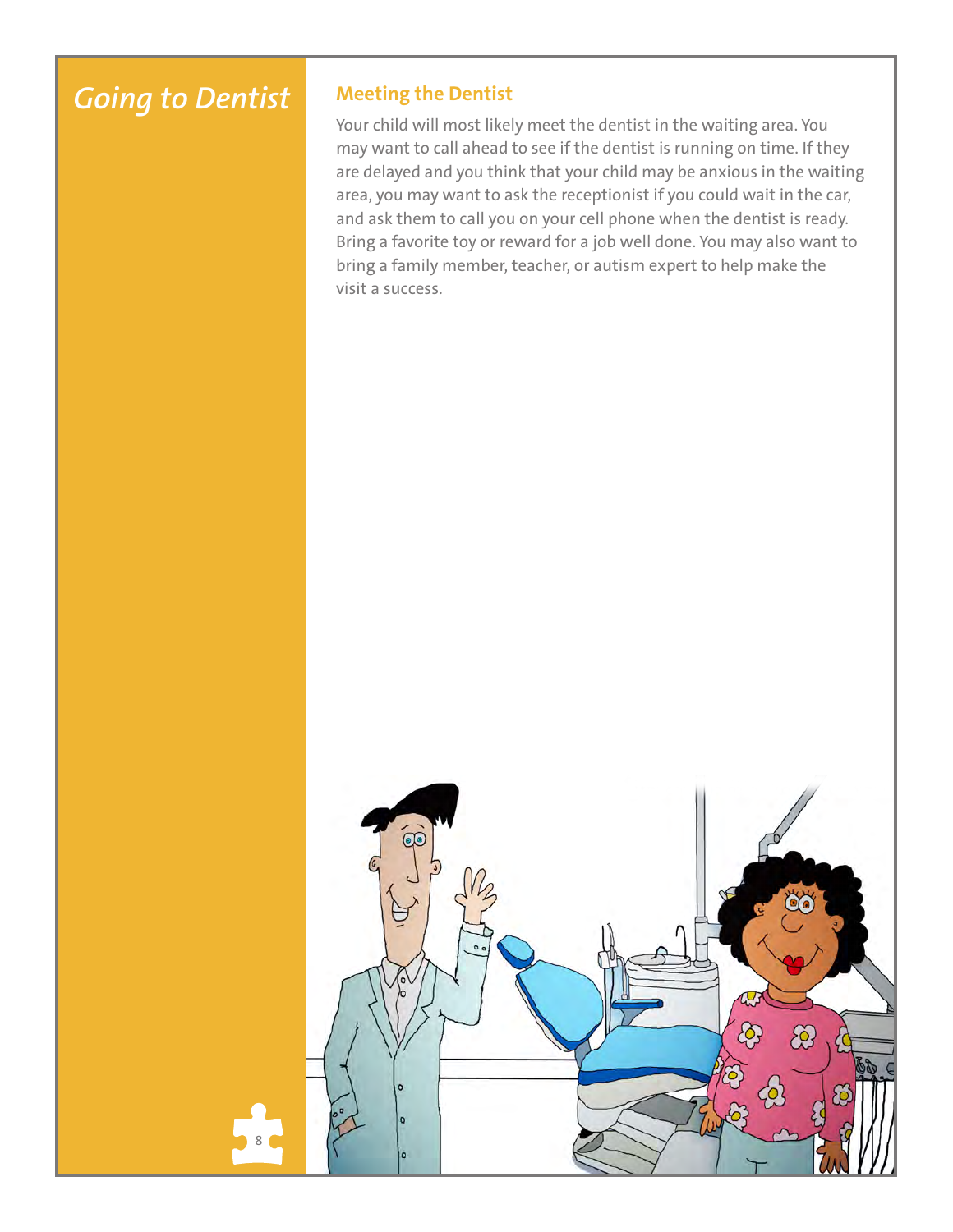# *Going to Dentist*

#### **Meeting the Dentist**

Your child will most likely meet the dentist in the waiting area. You may want to call ahead to see if the dentist is running on time. If they are delayed and you think that your child may be anxious in the waiting area, you may want to ask the receptionist if you could wait in the car, and ask them to call you on your cell phone when the dentist is ready. Bring a favorite toy or reward for a job well done. You may also want to bring a family member, teacher, or autism expert to help make the visit a success.

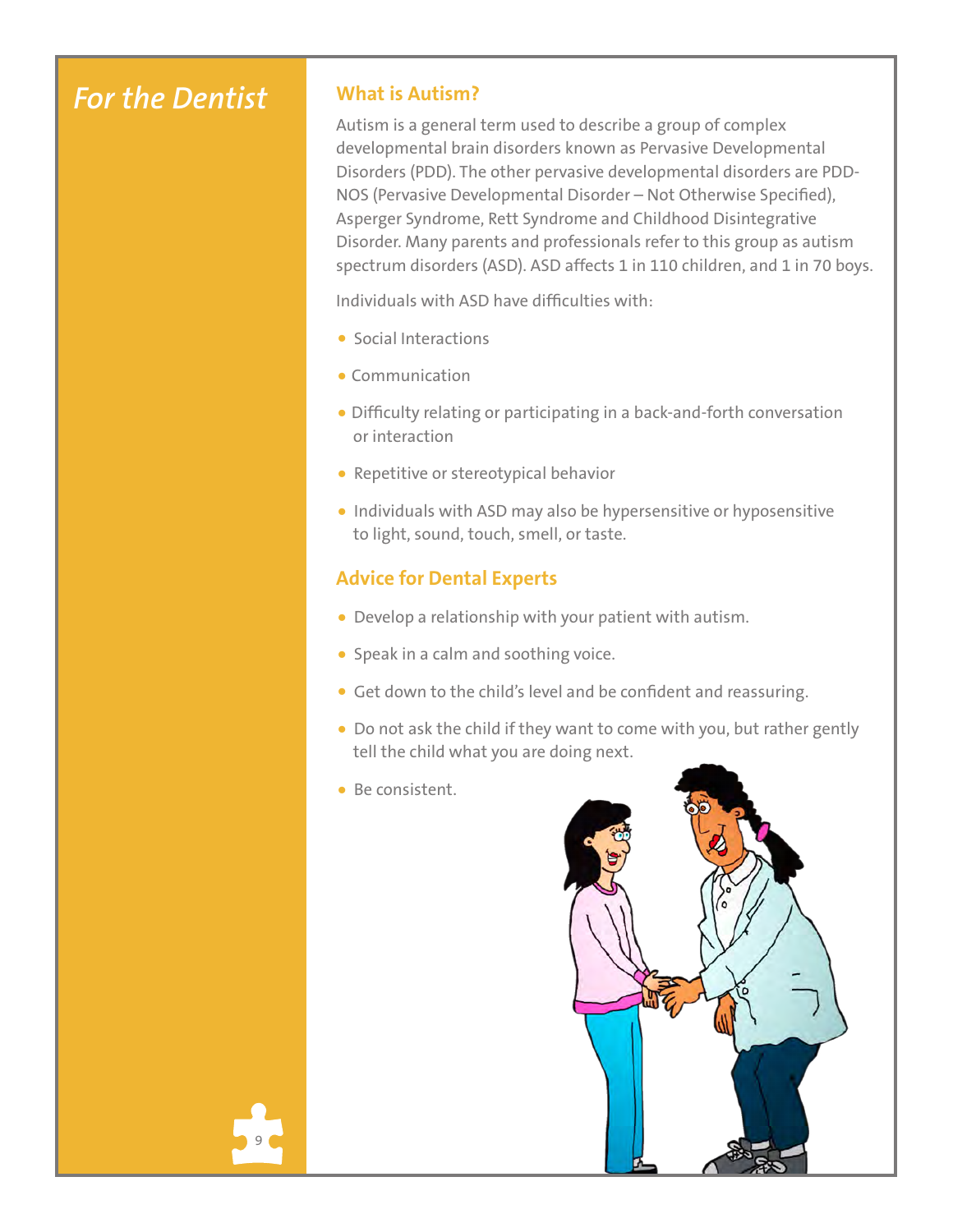## *For the Dentist*

#### **What is Autism?**

Autism is a general term used to describe a group of complex developmental brain disorders known as Pervasive Developmental Disorders (PDD). The other pervasive developmental disorders are PDD-NOS (Pervasive Developmental Disorder – Not Otherwise Specified), Asperger Syndrome, Rett Syndrome and Childhood Disintegrative Disorder. Many parents and professionals refer to this group as autism spectrum disorders (ASD). ASD affects 1 in 110 children, and 1 in 70 boys.

Individuals with ASD have difficulties with:

- Social Interactions
- Communication
- Difficulty relating or participating in a back-and-forth conversation or interaction
- Repetitive or stereotypical behavior
- Individuals with ASD may also be hypersensitive or hyposensitive to light, sound, touch, smell, or taste.

### **Advice for Dental Experts**

- Develop a relationship with your patient with autism.
- Speak in a calm and soothing voice.
- Get down to the child's level and be confident and reassuring.
- Do not ask the child if they want to come with you, but rather gently tell the child what you are doing next.
- Be consistent.

9

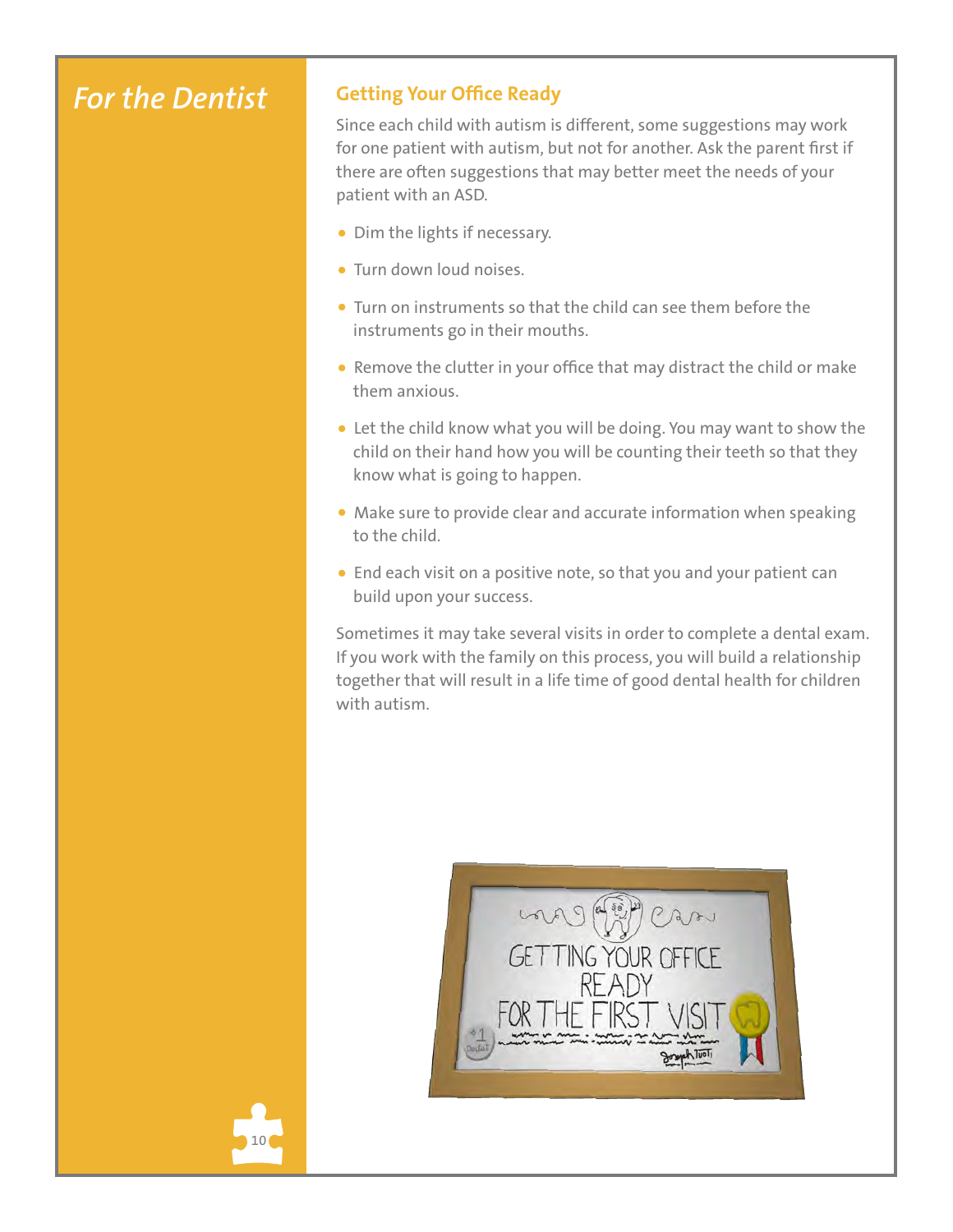## *For the Dentist*

10

### **Getting Your Office Ready**

Since each child with autism is different, some suggestions may work for one patient with autism, but not for another. Ask the parent first if there are often suggestions that may better meet the needs of your patient with an ASD.

- Dim the lights if necessary.
- Turn down loud noises.
- Turn on instruments so that the child can see them before the instruments go in their mouths.
- Remove the clutter in your office that may distract the child or make them anxious.
- Let the child know what you will be doing. You may want to show the child on their hand how you will be counting their teeth so that they know what is going to happen.
- Make sure to provide clear and accurate information when speaking to the child.
- End each visit on a positive note, so that you and your patient can build upon your success.

Sometimes it may take several visits in order to complete a dental exam. If you work with the family on this process, you will build a relationship together that will result in a life time of good dental health for children with autism.

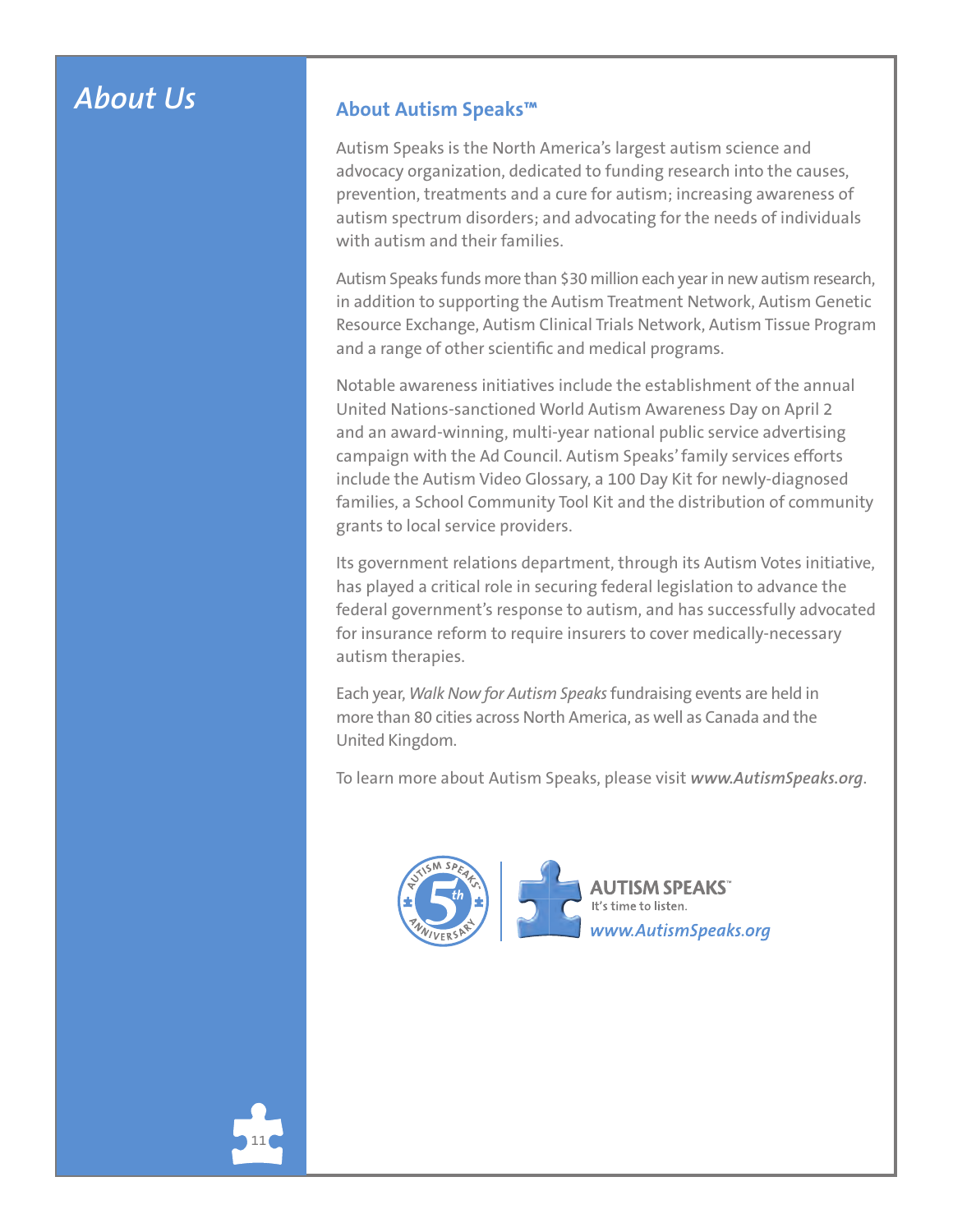### *About Us*

#### **About Autism Speaks™**

Autism Speaks is the North America's largest autism science and advocacy organization, dedicated to funding research into the causes, prevention, treatments and a cure for autism; increasing awareness of autism spectrum disorders; and advocating for the needs of individuals with autism and their families.

Autism Speaks funds more than \$30 million each year in new autism research, in addition to supporting the Autism Treatment Network, Autism Genetic Resource Exchange, Autism Clinical Trials Network, Autism Tissue Program and a range of other scientific and medical programs.

Notable awareness initiatives include the establishment of the annual United Nations-sanctioned World Autism Awareness Day on April 2 and an award-winning, multi-year national public service advertising campaign with the Ad Council. Autism Speaks' family services efforts include the Autism Video Glossary, a 100 Day Kit for newly-diagnosed families, a School Community Tool Kit and the distribution of community grants to local service providers.

Its government relations department, through its Autism Votes initiative, has played a critical role in securing federal legislation to advance the federal government's response to autism, and has successfully advocated for insurance reform to require insurers to cover medically-necessary autism therapies.

Each year, *Walk Now for Autism Speaks* fundraising events are held in more than 80 cities across North America, as well as Canada and the United Kingdom.

To learn more about Autism Speaks, please visit *www.AutismSpeaks.org*.



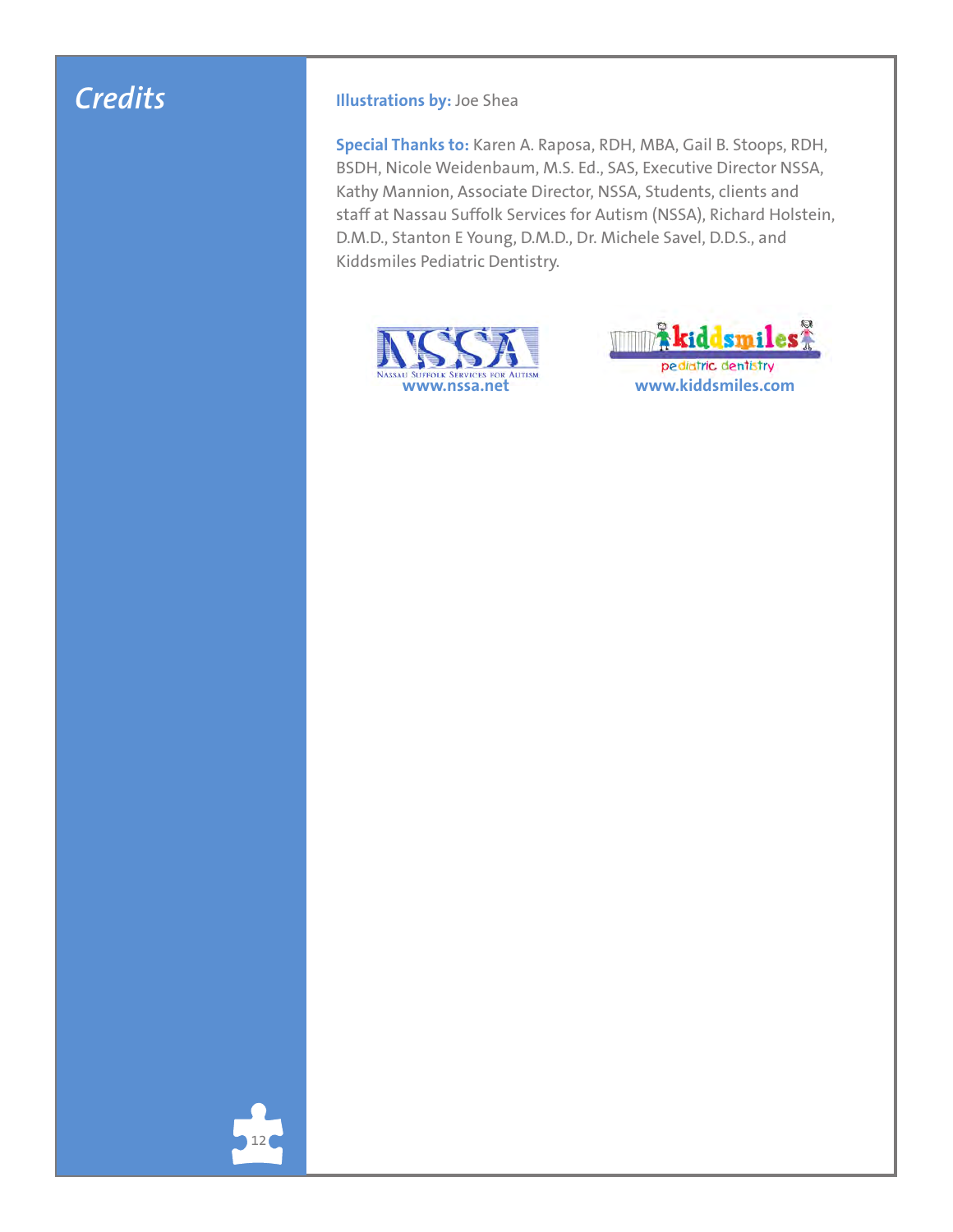## *Credits*

#### **Illustrations by:** Joe Shea

**Special Thanks to:** Karen A. Raposa, RDH, MBA, Gail B. Stoops, RDH, BSDH, Nicole Weidenbaum, M.S. Ed., SAS, Executive Director NSSA, Kathy Mannion, Associate Director, NSSA, Students, clients and staff at Nassau Suffolk Services for Autism (NSSA), Richard Holstein, D.M.D., Stanton E Young, D.M.D., Dr. Michele Savel, D.D.S., and Kiddsmiles Pediatric Dentistry.





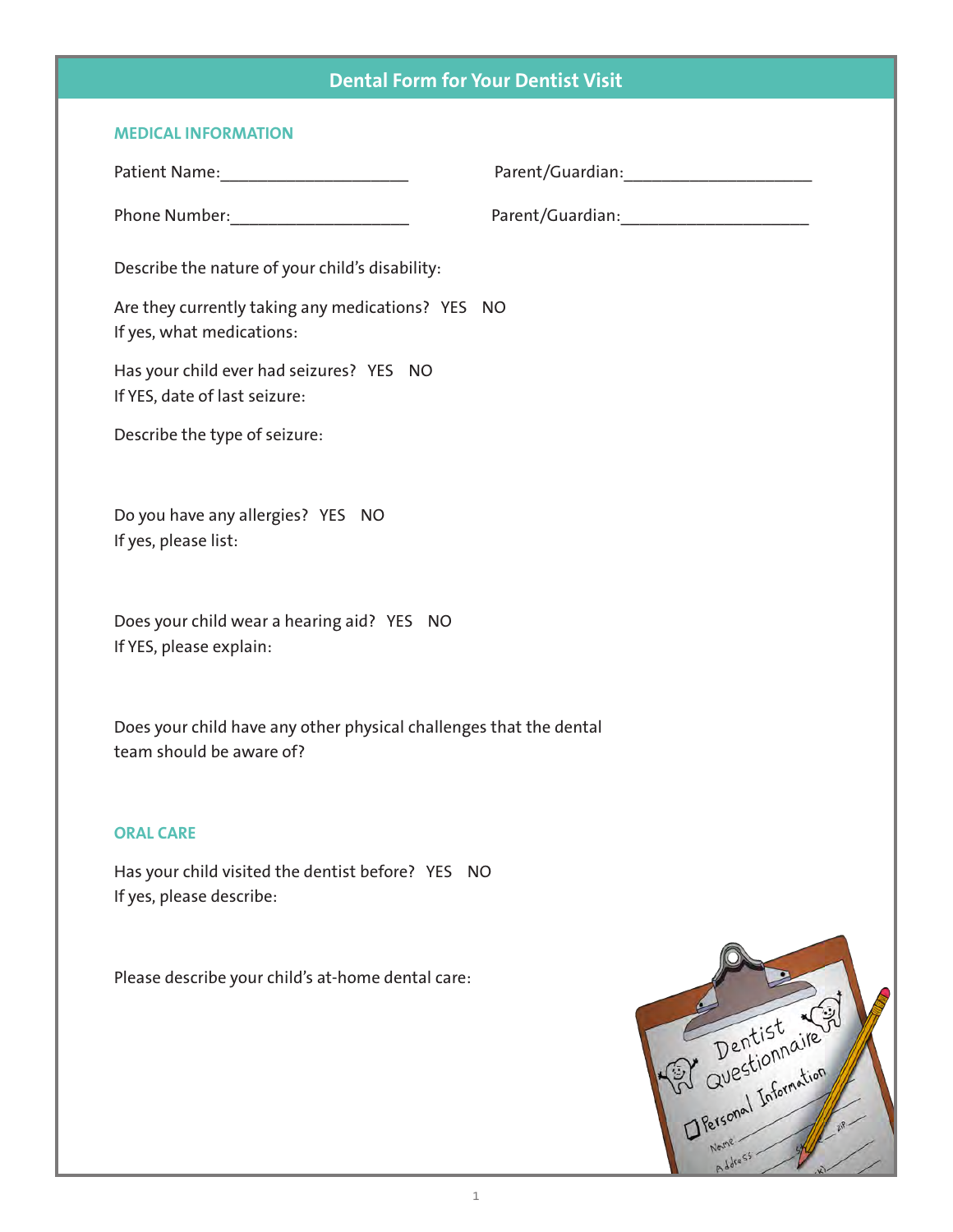### **Dental Form for Your Dentist Visit**

| <b>MEDICAL INFORMATION</b>                                                                     |                                                 |
|------------------------------------------------------------------------------------------------|-------------------------------------------------|
|                                                                                                |                                                 |
| Phone Number: _____________________                                                            |                                                 |
| Describe the nature of your child's disability:                                                |                                                 |
| Are they currently taking any medications? YES NO<br>If yes, what medications:                 |                                                 |
| Has your child ever had seizures? YES NO<br>If YES, date of last seizure:                      |                                                 |
| Describe the type of seizure:                                                                  |                                                 |
| Do you have any allergies? YES NO<br>If yes, please list:                                      |                                                 |
| Does your child wear a hearing aid? YES NO<br>If YES, please explain:                          |                                                 |
| Does your child have any other physical challenges that the dental<br>team should be aware of? |                                                 |
| <b>ORAL CARE</b>                                                                               |                                                 |
| Has your child visited the dentist before? YES NO<br>If yes, please describe:                  |                                                 |
| Please describe your child's at-home dental care:                                              | P Dentist Will<br>Greenal Information<br>ddress |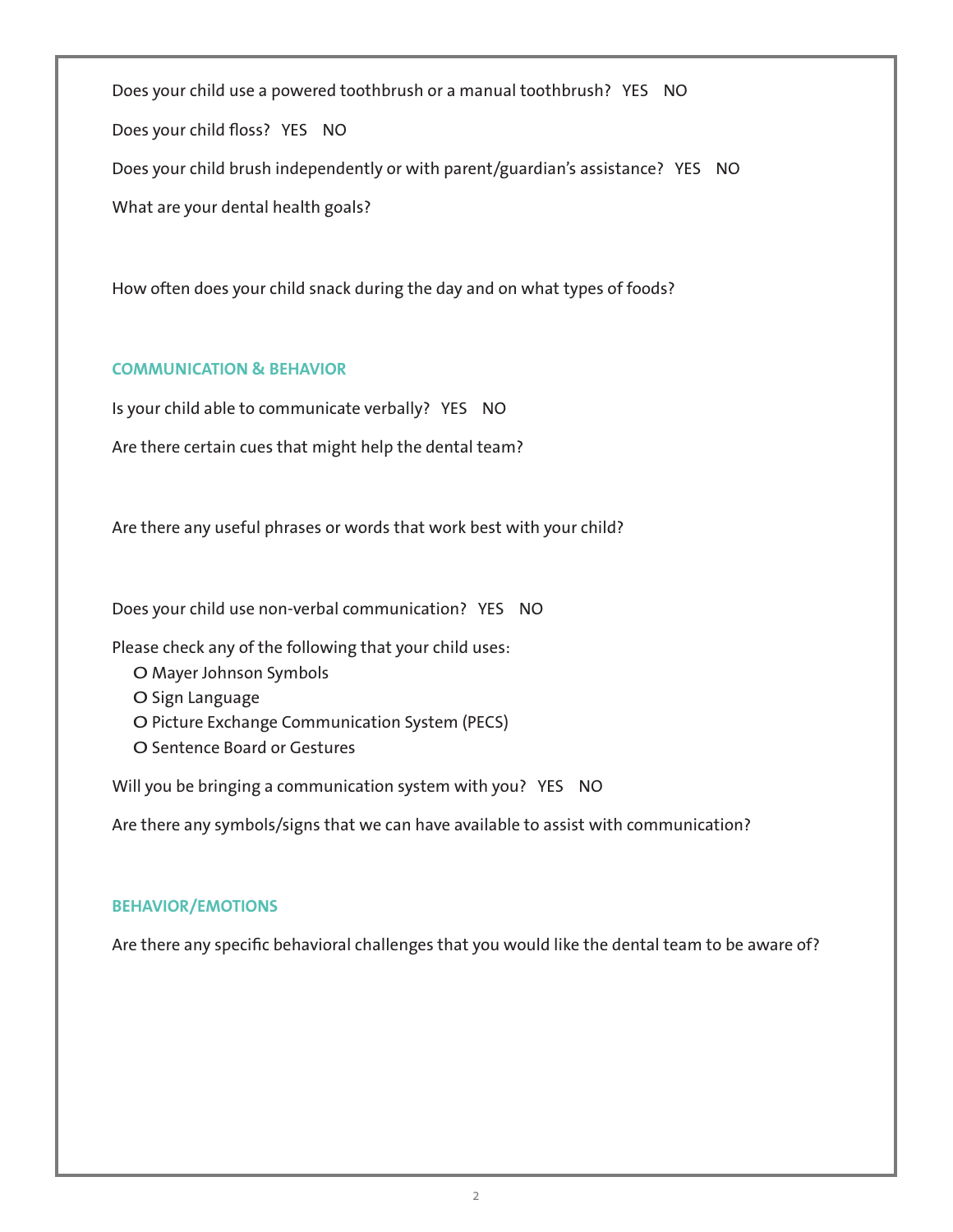Does your child use a powered toothbrush or a manual toothbrush? YES NO Does your child floss? YES NO Does your child brush independently or with parent/guardian's assistance? YES NO What are your dental health goals?

How often does your child snack during the day and on what types of foods?

#### **COMMUNICATION & BEHAVIOR**

Is your child able to communicate verbally? YES NO

Are there certain cues that might help the dental team?

Are there any useful phrases or words that work best with your child?

Does your child use non-verbal communication? YES NO

Please check any of the following that your child uses:

- O Mayer Johnson Symbols
- O Sign Language
- O Picture Exchange Communication System (PECS)
- O Sentence Board or Gestures

Will you be bringing a communication system with you? YES NO

Are there any symbols/signs that we can have available to assist with communication?

#### **BEHAVIOR/EMOTIONS**

Are there any specific behavioral challenges that you would like the dental team to be aware of?